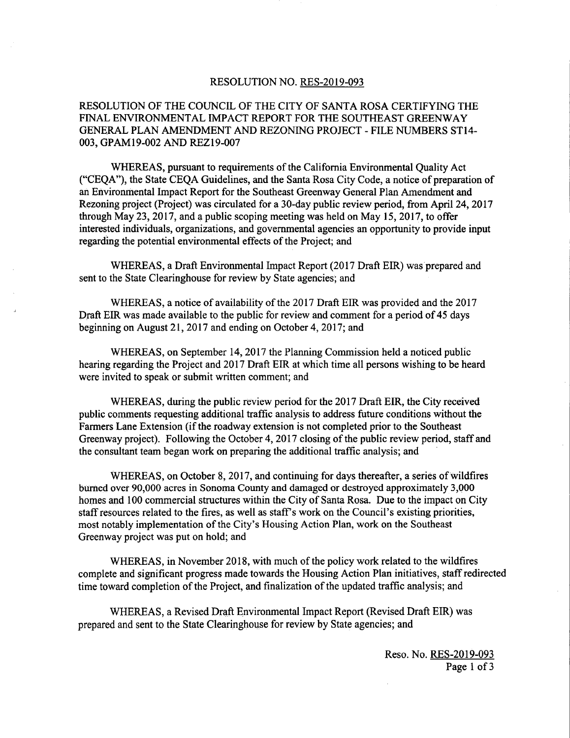## RESOLUTION NO. RES-2019-093

## RESOLUTION OF THE COUNCIL OF THE CITY OF SANTA ROSA CERTIFYING THE FINAL ENVIRONMENTAL IMPACT REPORT FOR THE SOUTHEAST GREENWAY GENERAL PLAN AMENDMENT AND REZONING PROJECT - FILE NUMBERS ST14- 003, GPAM19-002 AND REZ19-007

WHEREAS, pursuant to requirements of the California Environmental Quality Act CEQA"), the State CEQA Guidelines, and the Santa Rosa City Code, a notice of preparation of an Environmental Impact Report for the Southeast Greenway General Plan Amendment and Rezoning project (Project) was circulated for a 30-day public review period, from April 24, 2017 through May 23, 2017, and a public scoping meeting was held on May 15, 2017, to offer interested individuals, organizations, and governmental agencies an opportunity to provide input regarding the potential environmental effects of the Project; and

WHEREAS, a Draft Environmental Impact Report ( 2017 Draft EIR) was prepared and sent to the State Clearinghouse for review by State agencies; and

WHEREAS, a notice of availability of the 2017 Draft EIR was provided and the 2017 Draft EIR was made available to the public for review and comment for <sup>a</sup> period of 45 days beginning on August 21, 2017 and ending on October 4, 2017; and

WHEREAS, on September 14, 2017 the Planning Commission held a noticed public hearing regarding the Project and 2017 Draft EIR at which time all persons wishing to be heard were invited to speak or submit written comment; and

WHEREAS, during the public review period for the 2017 Draft EIR, the City received public comments requesting additional traffic analysis to address future conditions without the Farmers Lane Extension (if the roadway extension is not completed prior to the Southeast Greenway project). Following the October 4, 2017 closing of the public review period, staff and the consultant team began work on preparing the additional traffic analysis; and

WHEREAS, on October 8, 2017, and continuing for days thereafter, a series of wildfires burned over 90,000 acres in Sonoma County and damaged or destroyed approximately 3,000 homes and 100 commercial structures within the City of Santa Rosa. Due to the impact on City staff resources related to the fires, as well as staff's work on the Council's existing priorities, most notably implementation of the City's Housing Action Plan, work on the Southeast Greenway project was put on hold; and

WHEREAS, in November 2018, with much of the policy work related to the wildfires complete and significant progress made towards the Housing Action Plan initiatives, staff redirected time toward completion of the Project, and finalization of the updated traffic analysis; and

WHEREAS, a Revised Draft Environmental Impact Report ( Revised Draft EIR) was prepared and sent to the State Clearinghouse for review by State agencies; and

> Reso. No. RES-2019-093 Page <sup>1</sup> of <sup>3</sup>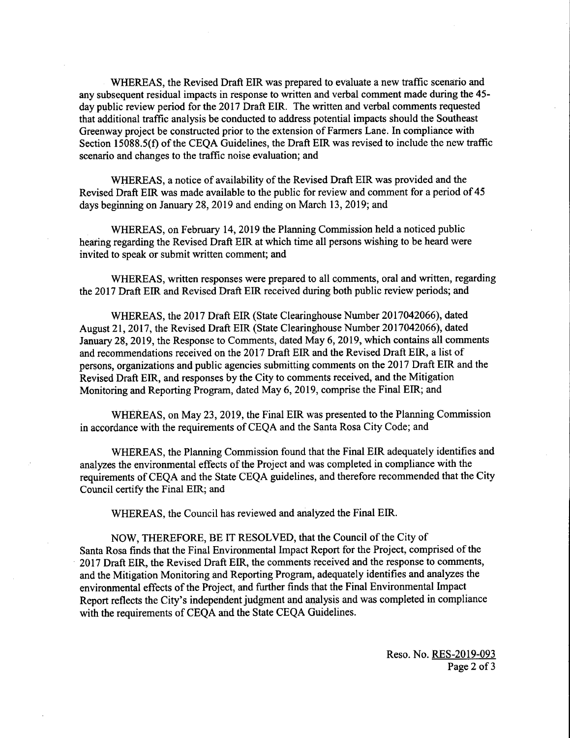WHEREAS, the Revised Draft EIR was prepared to evaluate a new traffic scenario and any subsequent residual impacts in response to written and verbal comment made during the 45 day public review period for the 2017 Draft EIR. The written and verbal comments requested that additional traffic analysis be conducted to address potential impacts should the Southeast Greenway project be constructed prior to the extension of Farmers Lane. In compliance with Section 15088.5(f) of the CEQA Guidelines, the Draft EIR was revised to include the new traffic scenario and changes to the traffic noise evaluation; and

WHEREAS, a notice of availability of the Revised Draft EIR was provided and the Revised Draft EIR was made available to the public for review and comment for a period of 45 days beginning on January 28, 2019 and ending on March 13, 2019; and

WHEREAS, on February 14, 2019 the Planning Commission held a noticed public hearing regarding the Revised Draft EIR at which time all persons wishing to be heard were invited to speak or submit written comment; and

WHEREAS, written responses were prepared to all comments, oral and written, regarding the 2017 Draft EIR and Revised Draft EIR received during both public review periods; and

WHEREAS, the 2017 Draft EIR ( State Clearinghouse Number 2017042066), dated August 21, 2017, the Revised Draft EIR ( State Clearinghouse Number 2017042066), dated January 28, 2019, the Response to Comments, dated May 6, 2019, which contains all comments and recommendations received on the 2017 Draft EIR and the Revised Draft EIR, a list of persons, organizations and public agencies submitting comments on the 2017 Draft EIR and the Revised Draft EIR, and responses by the City to comments received, and the Mitigation Monitoring and Reporting Program, dated May 6, 2019, comprise the Final EIR; and

WHEREAS, on May 23, 2019, the Final EIR was presented to the Planning Commission in accordance with the requirements of CEQA and the Santa Rosa City Code; and

WHEREAS, the Planning Commission found that the Final EIR adequately identifies and analyzes the environmental effects of the Project and was completed in compliance with the requirements of CEQA and the State CEQA guidelines, and therefore recommended that the City Council certify the Final EIR; and

WHEREAS, the Council has reviewed and analyzed the Final EIR.

NOW, THEREFORE, BE IT RESOLVED, that the Council of the City of Santa Rosa finds that the Final Environmental Impact Report for the Project, comprised of the 2017 Draft EIR, the Revised Draft EIR, the comments received and the response to comments, and the Mitigation Monitoring and Reporting Program, adequately identifies and analyzes the environmental effects of the Project, and further finds that the Final Environmental Impact Report reflects the City's independent judgment and analysis and was completed in compliance with the requirements of CEQA and the State CEQA Guidelines.

> Reso. No. RES-2019-093 Page <sup>2</sup> of <sup>3</sup>